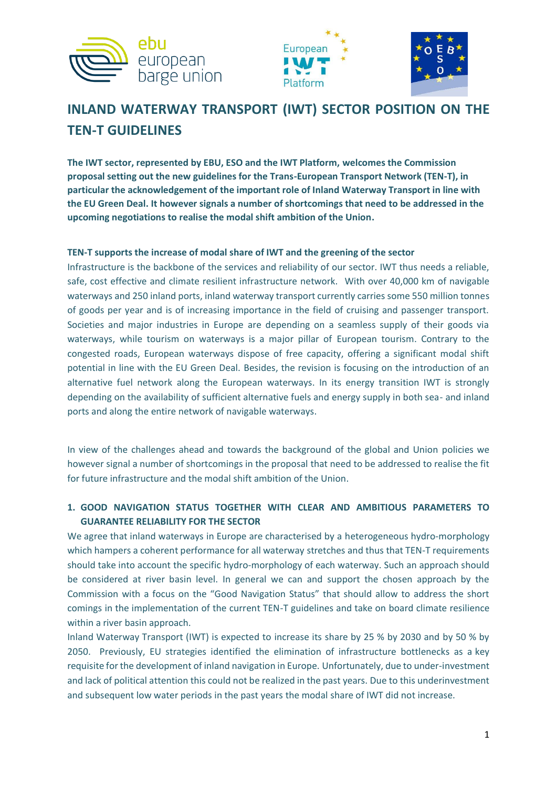





# **INLAND WATERWAY TRANSPORT (IWT) SECTOR POSITION ON THE TEN-T GUIDELINES**

**The IWT sector, represented by EBU, ESO and the IWT Platform, welcomes the Commission proposal setting out the new guidelines for the Trans-European Transport Network (TEN-T), in particular the acknowledgement of the important role of Inland Waterway Transport in line with the EU Green Deal. It however signals a number of shortcomings that need to be addressed in the upcoming negotiations to realise the modal shift ambition of the Union.** 

## **TEN-T supports the increase of modal share of IWT and the greening of the sector**

Infrastructure is the backbone of the services and reliability of our sector. IWT thus needs a reliable, safe, cost effective and climate resilient infrastructure network. With over 40,000 km of navigable waterways and 250 inland ports, inland waterway transport currently carries some 550 million tonnes of goods per year and is of increasing importance in the field of cruising and passenger transport. Societies and major industries in Europe are depending on a seamless supply of their goods via waterways, while tourism on waterways is a major pillar of European tourism. Contrary to the congested roads, European waterways dispose of free capacity, offering a significant modal shift potential in line with the EU Green Deal. Besides, the revision is focusing on the introduction of an alternative fuel network along the European waterways. In its energy transition IWT is strongly depending on the availability of sufficient alternative fuels and energy supply in both sea- and inland ports and along the entire network of navigable waterways.

In view of the challenges ahead and towards the background of the global and Union policies we however signal a number of shortcomings in the proposal that need to be addressed to realise the fit for future infrastructure and the modal shift ambition of the Union.

# **1. GOOD NAVIGATION STATUS TOGETHER WITH CLEAR AND AMBITIOUS PARAMETERS TO GUARANTEE RELIABILITY FOR THE SECTOR**

We agree that inland waterways in Europe are characterised by a heterogeneous hydro-morphology which hampers a coherent performance for all waterway stretches and thus that TEN-T requirements should take into account the specific hydro-morphology of each waterway. Such an approach should be considered at river basin level. In general we can and support the chosen approach by the Commission with a focus on the "Good Navigation Status" that should allow to address the short comings in the implementation of the current TEN-T guidelines and take on board climate resilience within a river basin approach.

Inland Waterway Transport (IWT) is expected to increase its share by 25 % by 2030 and by 50 % by 2050. Previously, EU strategies identified the elimination of infrastructure bottlenecks as a key requisite for the development of inland navigation in Europe. Unfortunately, due to under-investment and lack of political attention this could not be realized in the past years. Due to this underinvestment and subsequent low water periods in the past years the modal share of IWT did not increase.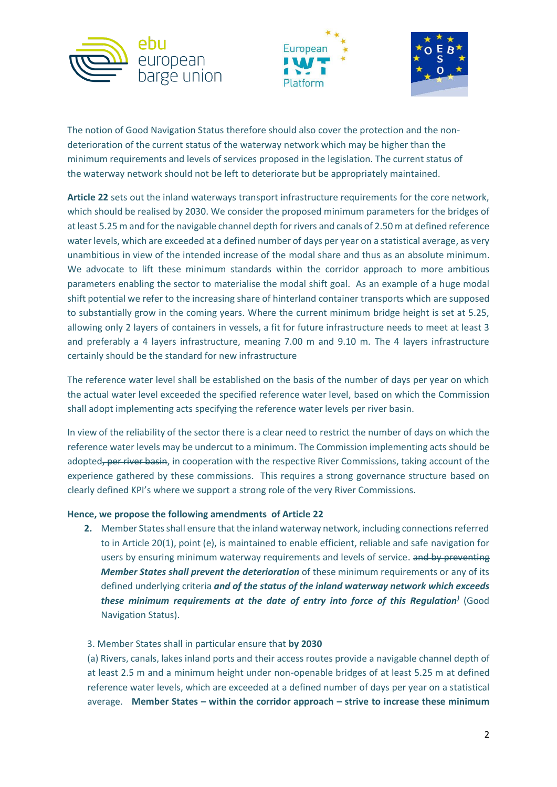





The notion of Good Navigation Status therefore should also cover the protection and the nondeterioration of the current status of the waterway network which may be higher than the minimum requirements and levels of services proposed in the legislation. The current status of the waterway network should not be left to deteriorate but be appropriately maintained.

**Article 22** sets out the inland waterways transport infrastructure requirements for the core network, which should be realised by 2030. We consider the proposed minimum parameters for the bridges of at least 5.25 m and for the navigable channel depth for rivers and canals of 2.50 m at defined reference water levels, which are exceeded at a defined number of days per year on a statistical average, as very unambitious in view of the intended increase of the modal share and thus as an absolute minimum. We advocate to lift these minimum standards within the corridor approach to more ambitious parameters enabling the sector to materialise the modal shift goal. As an example of a huge modal shift potential we refer to the increasing share of hinterland container transports which are supposed to substantially grow in the coming years. Where the current minimum bridge height is set at 5.25, allowing only 2 layers of containers in vessels, a fit for future infrastructure needs to meet at least 3 and preferably a 4 layers infrastructure, meaning 7.00 m and 9.10 m. The 4 layers infrastructure certainly should be the standard for new infrastructure

The reference water level shall be established on the basis of the number of days per year on which the actual water level exceeded the specified reference water level, based on which the Commission shall adopt implementing acts specifying the reference water levels per river basin.

In view of the reliability of the sector there is a clear need to restrict the number of days on which the reference water levels may be undercut to a minimum. The Commission implementing acts should be adopted, per river basin, in cooperation with the respective River Commissions, taking account of the experience gathered by these commissions. This requires a strong governance structure based on clearly defined KPI's where we support a strong role of the very River Commissions.

### **Hence, we propose the following amendments of Article 22**

**2.** Member States shall ensure that the inland waterway network, including connections referred to in Article 20(1), point (e), is maintained to enable efficient, reliable and safe navigation for users by ensuring minimum waterway requirements and levels of service. and by preventing *Member States shall prevent the deterioration* of these minimum requirements or any of its defined underlying criteria *and of the status of the inland waterway network which exceeds these minimum requirements at the date of entry into force of this Regulation)* (Good Navigation Status).

### 3. Member States shall in particular ensure that **by 2030**

(a) Rivers, canals, lakes inland ports and their access routes provide a navigable channel depth of at least 2.5 m and a minimum height under non-openable bridges of at least 5.25 m at defined reference water levels, which are exceeded at a defined number of days per year on a statistical average. **Member States – within the corridor approach – strive to increase these minimum**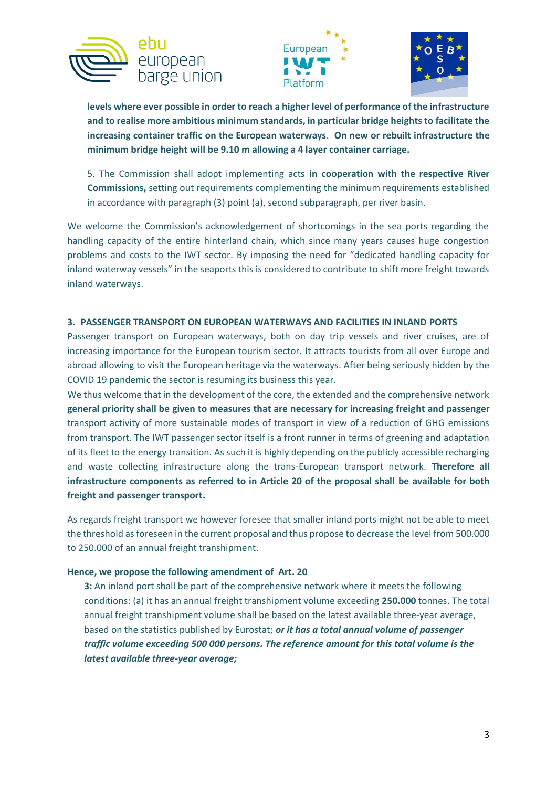





**levels where ever possible in order to reach a higher level of performance of the infrastructure and to realise more ambitious minimum standards, in particular bridge heights to facilitate the increasing container traffic on the European waterways**. **On new or rebuilt infrastructure the minimum bridge height will be 9.10 m allowing a 4 layer container carriage.** 

5. The Commission shall adopt implementing acts **in cooperation with the respective River Commissions,** setting out requirements complementing the minimum requirements established in accordance with paragraph (3) point (a), second subparagraph, per river basin.

We welcome the Commission's acknowledgement of shortcomings in the sea ports regarding the handling capacity of the entire hinterland chain, which since many years causes huge congestion problems and costs to the IWT sector. By imposing the need for "dedicated handling capacity for inland waterway vessels" in the seaports this is considered to contribute to shift more freight towards inland waterways.

### **3. PASSENGER TRANSPORT ON EUROPEAN WATERWAYS AND FACILITIES IN INLAND PORTS**

Passenger transport on European waterways, both on day trip vessels and river cruises, are of increasing importance for the European tourism sector. It attracts tourists from all over Europe and abroad allowing to visit the European heritage via the waterways. After being seriously hidden by the COVID 19 pandemic the sector is resuming its business this year.

We thus welcome that in the development of the core, the extended and the comprehensive network **general priority shall be given to measures that are necessary for increasing freight and passenger** transport activity of more sustainable modes of transport in view of a reduction of GHG emissions from transport. The IWT passenger sector itself is a front runner in terms of greening and adaptation of its fleet to the energy transition. As such it is highly depending on the publicly accessible recharging and waste collecting infrastructure along the trans-European transport network. **Therefore all infrastructure components as referred to in Article 20 of the proposal shall be available for both freight and passenger transport.**

As regards freight transport we however foresee that smaller inland ports might not be able to meet the threshold as foreseen in the current proposal and thus propose to decrease the level from 500.000 to 250.000 of an annual freight transhipment.

#### **Hence, we propose the following amendment of Art. 20**

**3:** An inland port shall be part of the comprehensive network where it meets the following conditions: (a) it has an annual freight transhipment volume exceeding **250.000** tonnes. The total annual freight transhipment volume shall be based on the latest available three-year average, based on the statistics published by Eurostat; *or it has a total annual volume of passenger traffic volume exceeding 500 000 persons. The reference amount for this total volume is the latest available three-year average;*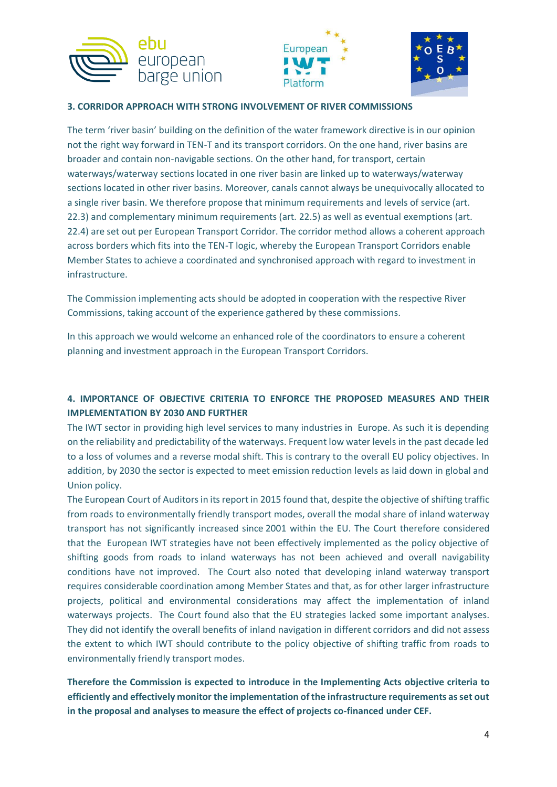





# **3. CORRIDOR APPROACH WITH STRONG INVOLVEMENT OF RIVER COMMISSIONS**

The term 'river basin' building on the definition of the water framework directive is in our opinion not the right way forward in TEN-T and its transport corridors. On the one hand, river basins are broader and contain non-navigable sections. On the other hand, for transport, certain waterways/waterway sections located in one river basin are linked up to waterways/waterway sections located in other river basins. Moreover, canals cannot always be unequivocally allocated to a single river basin. We therefore propose that minimum requirements and levels of service (art. 22.3) and complementary minimum requirements (art. 22.5) as well as eventual exemptions (art. 22.4) are set out per European Transport Corridor. The corridor method allows a coherent approach across borders which fits into the TEN-T logic, whereby the European Transport Corridors enable Member States to achieve a coordinated and synchronised approach with regard to investment in infrastructure.

The Commission implementing acts should be adopted in cooperation with the respective River Commissions, taking account of the experience gathered by these commissions.

In this approach we would welcome an enhanced role of the coordinators to ensure a coherent planning and investment approach in the European Transport Corridors.

# **4. IMPORTANCE OF OBJECTIVE CRITERIA TO ENFORCE THE PROPOSED MEASURES AND THEIR IMPLEMENTATION BY 2030 AND FURTHER**

The IWT sector in providing high level services to many industries in Europe. As such it is depending on the reliability and predictability of the waterways. Frequent low water levels in the past decade led to a loss of volumes and a reverse modal shift. This is contrary to the overall EU policy objectives. In addition, by 2030 the sector is expected to meet emission reduction levels as laid down in global and Union policy.

The European Court of Auditors in its report in 2015 found that, despite the objective of shifting traffic from roads to environmentally friendly transport modes, overall the modal share of inland waterway transport has not significantly increased since 2001 within the EU. The Court therefore considered that the European IWT strategies have not been effectively implemented as the policy objective of shifting goods from roads to inland waterways has not been achieved and overall navigability conditions have not improved. The Court also noted that developing inland waterway transport requires considerable coordination among Member States and that, as for other larger infrastructure projects, political and environmental considerations may affect the implementation of inland waterways projects. The Court found also that the EU strategies lacked some important analyses. They did not identify the overall benefits of inland navigation in different corridors and did not assess the extent to which IWT should contribute to the policy objective of shifting traffic from roads to environmentally friendly transport modes.

**Therefore the Commission is expected to introduce in the Implementing Acts objective criteria to efficiently and effectively monitor the implementation of the infrastructure requirements as set out in the proposal and analyses to measure the effect of projects co-financed under CEF.**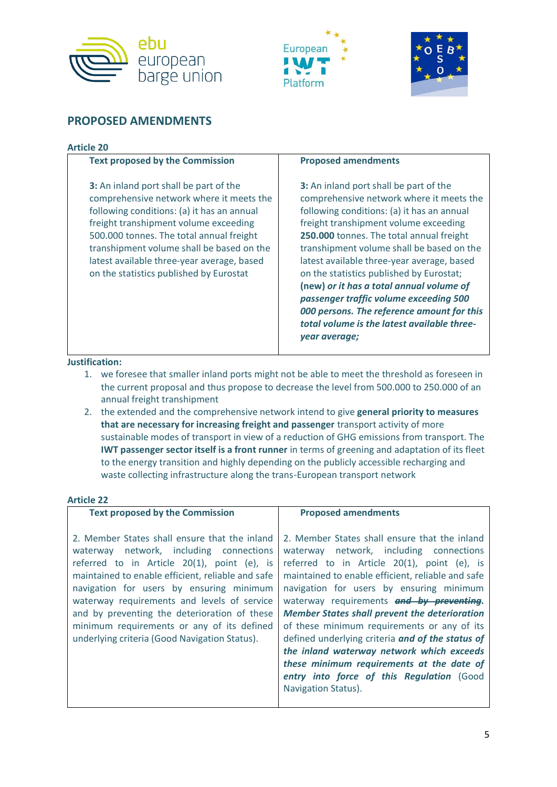





# **PROPOSED AMENDMENTS**

### **Article 20**

| <b>Text proposed by the Commission</b>                                                                                                                                                                                                                                                                                                                             | <b>Proposed amendments</b>                                                                                                                                                                                                                                                                                                                                                                                                                                                                                                                                              |
|--------------------------------------------------------------------------------------------------------------------------------------------------------------------------------------------------------------------------------------------------------------------------------------------------------------------------------------------------------------------|-------------------------------------------------------------------------------------------------------------------------------------------------------------------------------------------------------------------------------------------------------------------------------------------------------------------------------------------------------------------------------------------------------------------------------------------------------------------------------------------------------------------------------------------------------------------------|
| <b>3:</b> An inland port shall be part of the<br>comprehensive network where it meets the<br>following conditions: (a) it has an annual<br>freight transhipment volume exceeding<br>500.000 tonnes. The total annual freight<br>transhipment volume shall be based on the<br>latest available three-year average, based<br>on the statistics published by Eurostat | <b>3:</b> An inland port shall be part of the<br>comprehensive network where it meets the<br>following conditions: (a) it has an annual<br>freight transhipment volume exceeding<br>250.000 tonnes. The total annual freight<br>transhipment volume shall be based on the<br>latest available three-year average, based<br>on the statistics published by Eurostat;<br>(new) or it has a total annual volume of<br>passenger traffic volume exceeding 500<br>000 persons. The reference amount for this<br>total volume is the latest available three-<br>year average; |

### **Justification:**

- 1. we foresee that smaller inland ports might not be able to meet the threshold as foreseen in the current proposal and thus propose to decrease the level from 500.000 to 250.000 of an annual freight transhipment
- 2. the extended and the comprehensive network intend to give **general priority to measures that are necessary for increasing freight and passenger** transport activity of more sustainable modes of transport in view of a reduction of GHG emissions from transport. The **IWT passenger sector itself is a front runner** in terms of greening and adaptation of its fleet to the energy transition and highly depending on the publicly accessible recharging and waste collecting infrastructure along the trans-European transport network

#### **Article 22**

| <b>Text proposed by the Commission</b>                                                                                                                                                                                                                                                                                                                                                                                                 | <b>Proposed amendments</b>                                                                                                                                                                                                                                                                                                                                                                                                                                                                                                                                                                                    |
|----------------------------------------------------------------------------------------------------------------------------------------------------------------------------------------------------------------------------------------------------------------------------------------------------------------------------------------------------------------------------------------------------------------------------------------|---------------------------------------------------------------------------------------------------------------------------------------------------------------------------------------------------------------------------------------------------------------------------------------------------------------------------------------------------------------------------------------------------------------------------------------------------------------------------------------------------------------------------------------------------------------------------------------------------------------|
| 2. Member States shall ensure that the inland<br>waterway network, including connections<br>referred to in Article 20(1), point (e), is<br>maintained to enable efficient, reliable and safe<br>navigation for users by ensuring minimum<br>waterway requirements and levels of service<br>and by preventing the deterioration of these<br>minimum requirements or any of its defined<br>underlying criteria (Good Navigation Status). | 2. Member States shall ensure that the inland<br>waterway network, including connections<br>referred to in Article 20(1), point (e), is<br>maintained to enable efficient, reliable and safe<br>navigation for users by ensuring minimum<br>waterway requirements and by preventing.<br><b>Member States shall prevent the deterioration</b><br>of these minimum requirements or any of its<br>defined underlying criteria and of the status of<br>the inland waterway network which exceeds<br>these minimum requirements at the date of<br>entry into force of this Regulation (Good<br>Navigation Status). |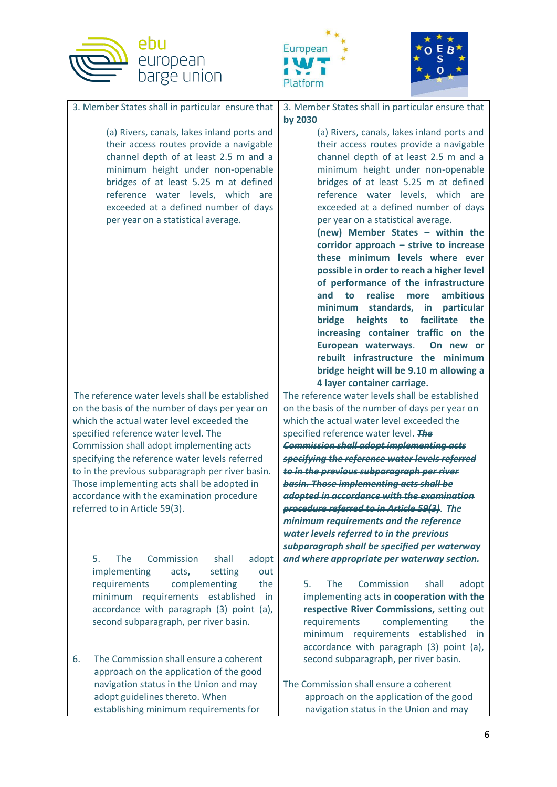





3. Member States shall in particular ensure that

(a) Rivers, canals, lakes inland ports and their access routes provide a navigable channel depth of at least 2.5 m and a minimum height under non-openable bridges of at least 5.25 m at defined reference water levels, which are exceeded at a defined number of days per year on a statistical average.

The reference water levels shall be established on the basis of the number of days per year on which the actual water level exceeded the specified reference water level. The Commission shall adopt implementing acts specifying the reference water levels referred to in the previous subparagraph per river basin. Those implementing acts shall be adopted in accordance with the examination procedure referred to in Article 59(3).

> 5. The Commission shall adopt implementing acts**,** setting out requirements complementing the minimum requirements established in accordance with paragraph (3) point (a), second subparagraph, per river basin.

6. The Commission shall ensure a coherent approach on the application of the good navigation status in the Union and may adopt guidelines thereto. When establishing minimum requirements for

3. Member States shall in particular ensure that **by 2030** 

> (a) Rivers, canals, lakes inland ports and their access routes provide a navigable channel depth of at least 2.5 m and a minimum height under non-openable bridges of at least 5.25 m at defined reference water levels, which are exceeded at a defined number of days per year on a statistical average.

**(new) Member States – within the corridor approach – strive to increase these minimum levels where ever possible in order to reach a higher level of performance of the infrastructure and to realise more ambitious minimum standards, in particular bridge heights to facilitate the increasing container traffic on the European waterways**. **On new or rebuilt infrastructure the minimum bridge height will be 9.10 m allowing a 4 layer container carriage.** 

The reference water levels shall be established on the basis of the number of days per year on which the actual water level exceeded the specified reference water level. *The Commission shall adopt implementing acts specifying the reference water levels referred to in the previous subparagraph per river basin. Those implementing acts shall be adopted in accordance with the examination procedure referred to in Article 59(3)*. *The minimum requirements and the reference water levels referred to in the previous subparagraph shall be specified per waterway and where appropriate per waterway section.*

5. The Commission shall adopt implementing acts **in cooperation with the respective River Commissions,** setting out requirements complementing the minimum requirements established in accordance with paragraph (3) point (a), second subparagraph, per river basin.

The Commission shall ensure a coherent approach on the application of the good navigation status in the Union and may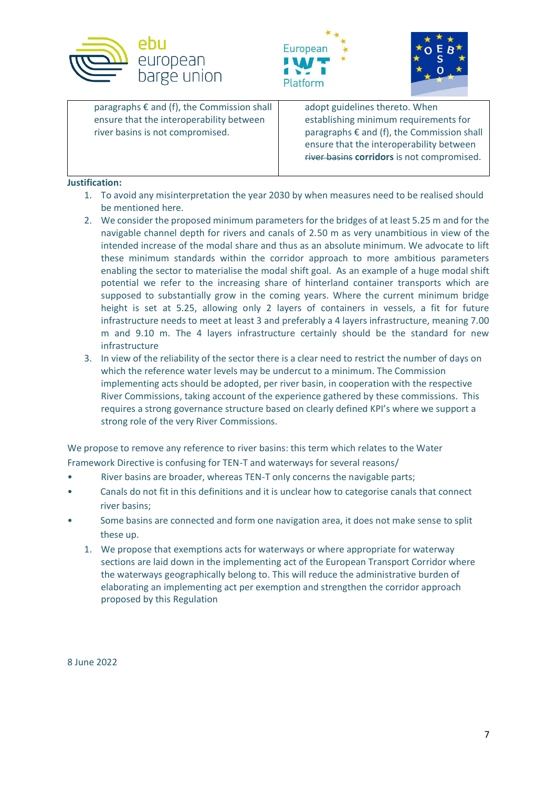





| paragraphs $\epsilon$ and (f), the Commission shall<br>ensure that the interoperability between<br>river basins is not compromised. | adopt guidelines thereto. When<br>establishing minimum requirements for<br>paragraphs $\epsilon$ and (f), the Commission shall<br>ensure that the interoperability between<br>river basins corridors is not compromised. |
|-------------------------------------------------------------------------------------------------------------------------------------|--------------------------------------------------------------------------------------------------------------------------------------------------------------------------------------------------------------------------|
|                                                                                                                                     |                                                                                                                                                                                                                          |

# **Justification:**

- 1. To avoid any misinterpretation the year 2030 by when measures need to be realised should be mentioned here.
- 2. We consider the proposed minimum parameters for the bridges of at least 5.25 m and for the navigable channel depth for rivers and canals of 2.50 m as very unambitious in view of the intended increase of the modal share and thus as an absolute minimum. We advocate to lift these minimum standards within the corridor approach to more ambitious parameters enabling the sector to materialise the modal shift goal. As an example of a huge modal shift potential we refer to the increasing share of hinterland container transports which are supposed to substantially grow in the coming years. Where the current minimum bridge height is set at 5.25, allowing only 2 layers of containers in vessels, a fit for future infrastructure needs to meet at least 3 and preferably a 4 layers infrastructure, meaning 7.00 m and 9.10 m. The 4 layers infrastructure certainly should be the standard for new infrastructure
- 3. In view of the reliability of the sector there is a clear need to restrict the number of days on which the reference water levels may be undercut to a minimum. The Commission implementing acts should be adopted, per river basin, in cooperation with the respective River Commissions, taking account of the experience gathered by these commissions. This requires a strong governance structure based on clearly defined KPI's where we support a strong role of the very River Commissions.

We propose to remove any reference to river basins: this term which relates to the Water Framework Directive is confusing for TEN-T and waterways for several reasons/

- River basins are broader, whereas TEN-T only concerns the navigable parts;
- Canals do not fit in this definitions and it is unclear how to categorise canals that connect river basins;
- Some basins are connected and form one navigation area, it does not make sense to split these up.
	- 1. We propose that exemptions acts for waterways or where appropriate for waterway sections are laid down in the implementing act of the European Transport Corridor where the waterways geographically belong to. This will reduce the administrative burden of elaborating an implementing act per exemption and strengthen the corridor approach proposed by this Regulation

8 June 2022